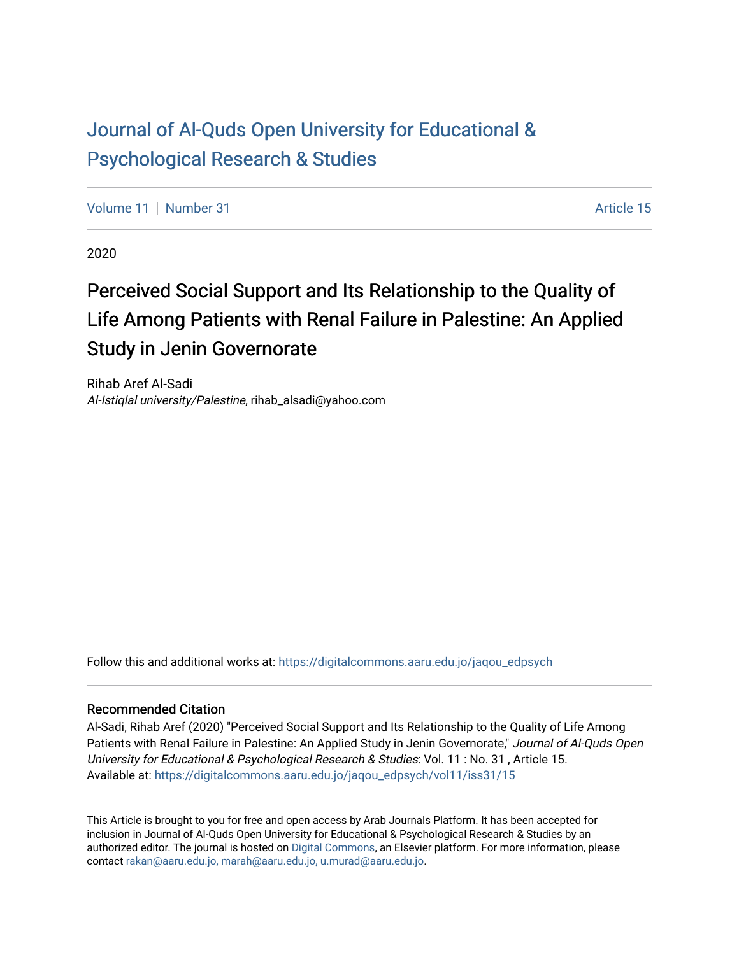## [Journal of Al-Quds Open University for Educational &](https://digitalcommons.aaru.edu.jo/jaqou_edpsych) [Psychological Research & Studies](https://digitalcommons.aaru.edu.jo/jaqou_edpsych)

[Volume 11](https://digitalcommons.aaru.edu.jo/jaqou_edpsych/vol11) | [Number 31](https://digitalcommons.aaru.edu.jo/jaqou_edpsych/vol11/iss31) Article 15

2020

## Perceived Social Support and Its Relationship to the Quality of Life Among Patients with Renal Failure in Palestine: An Applied Study in Jenin Governorate

Rihab Aref Al-Sadi Al-Istiqlal university/Palestine, rihab\_alsadi@yahoo.com

Follow this and additional works at: [https://digitalcommons.aaru.edu.jo/jaqou\\_edpsych](https://digitalcommons.aaru.edu.jo/jaqou_edpsych?utm_source=digitalcommons.aaru.edu.jo%2Fjaqou_edpsych%2Fvol11%2Fiss31%2F15&utm_medium=PDF&utm_campaign=PDFCoverPages)

#### Recommended Citation

Al-Sadi, Rihab Aref (2020) "Perceived Social Support and Its Relationship to the Quality of Life Among Patients with Renal Failure in Palestine: An Applied Study in Jenin Governorate," Journal of Al-Quds Open University for Educational & Psychological Research & Studies: Vol. 11 : No. 31 , Article 15. Available at: [https://digitalcommons.aaru.edu.jo/jaqou\\_edpsych/vol11/iss31/15](https://digitalcommons.aaru.edu.jo/jaqou_edpsych/vol11/iss31/15?utm_source=digitalcommons.aaru.edu.jo%2Fjaqou_edpsych%2Fvol11%2Fiss31%2F15&utm_medium=PDF&utm_campaign=PDFCoverPages) 

This Article is brought to you for free and open access by Arab Journals Platform. It has been accepted for inclusion in Journal of Al-Quds Open University for Educational & Psychological Research & Studies by an authorized editor. The journal is hosted on [Digital Commons,](https://www.elsevier.com/solutions/digital-commons) an Elsevier platform. For more information, please contact [rakan@aaru.edu.jo, marah@aaru.edu.jo, u.murad@aaru.edu.jo](mailto:rakan@aaru.edu.jo,%20marah@aaru.edu.jo,%20u.murad@aaru.edu.jo).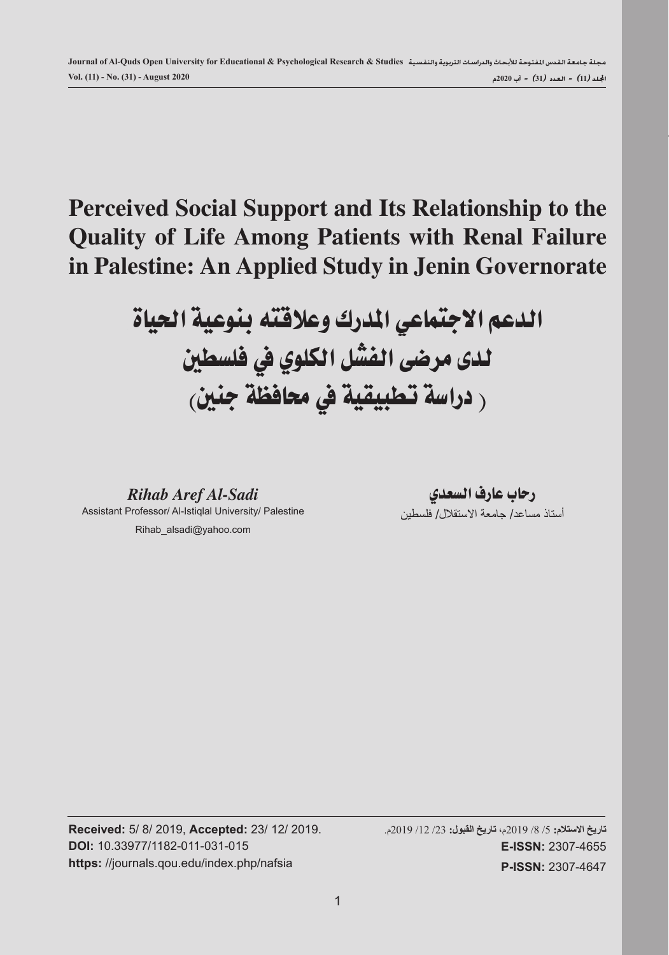# **Perceived Social Support and Its Relationship to the Quality of Life Among Patients with Renal Failure in Palestine: An Applied Study in Jenin Governorate**

# الدعم الاجتماعي المدرك وعلاقته بنوعية الحياة لدى مرضى الفشل الكلوي يف فلسطني ر دراسة تطبيقية في محافظة جنين<sub>)</sub>

*Rihab Aref Al-Sadi* Assistant Professor/ Al-Istiqlal University/ Palestine Rihab\_alsadi@yahoo.com

رحاب عارف السعدي أستاذ مساعد/ جامعة الاستقلال/ فلسطين

**Received:** 5/ 8/ 2019, **Accepted:** 23/ 12/ 2019. **DOI:** 10.33977/1182-011-031-015 **https:** //journals.qou.edu/index.php/nafsia

**تاريخ االستالم:** /5 /8 2019م، **تاريخ القبول:** /23 /12 2019م. **E-ISSN:** 2307-4655 **P-ISSN:** 2307-4647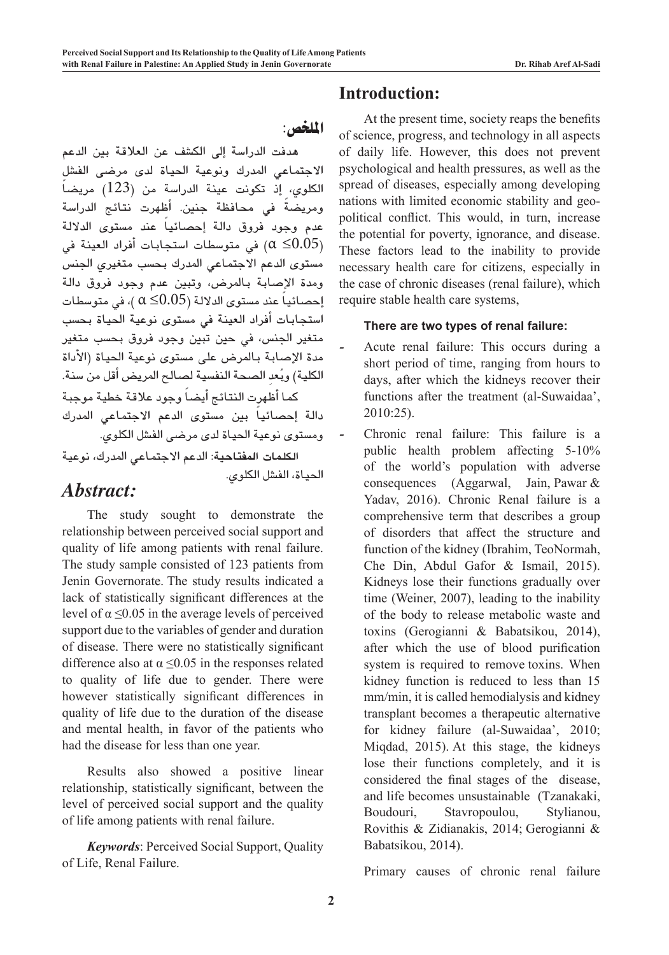امللخص:

الحياة، الفشل الكلوي.

هدفت الدراسة إلى الكشف عن العلاقة بين الدعم الاجتماعي المدرك ونوعية الحياة لدى مرضى الفشل الكلوى، إذ تكونت عينة الدراسة من (123) مريضاً ومريضةً فى محافظة جنين. أظهرت نتائج الدراسة عدم وجود فروق دالة إحصائياً عند مستوى الدلالة في متوسطات استجابات أفراد العينة في  $(\alpha \leq\hspace{-0.1cm}0.05)$ مستوى الدعم الاجتماعي المدرك بحسب متغيري الجنس ومدة الإ�صابة باملر�ض، وتبني عدم وجود فروق دالة إحصائياً عند مستوى الدلالة (0.05 $\alpha \leq 0.05$  )، في متوسطات استجابات أفراد العينة في مستوى نوعية الحياة بحسب متغير الجنس، في حين تبين وجود فروق بحسب متغير مدة الإصابة بالمرض على مستوى نوعية الحياة (الأداة الكلية) وبُعدِ الصحة النفسية لصالح المريض أقل من سنة. كما أظهرت النتائج أي�ضًا وجود عالقة خطية موجبة دالة إحصائياً بين مستوى الدعم الاجتماعي المدرك وم�ستوى نوعية احلياة لدى مر�ضى الف�شل الكلوي. **الكلمات املفتاحية**: الدعم االجتماعي املدرك، نوعية

## *Abstract:*

The study sought to demonstrate the relationship between perceived social support and quality of life among patients with renal failure. The study sample consisted of 123 patients from Jenin Governorate. The study results indicated a lack of statistically significant differences at the level of  $\alpha \leq 0.05$  in the average levels of perceived support due to the variables of gender and duration of disease. There were no statistically significant difference also at  $\alpha \leq 0.05$  in the responses related to quality of life due to gender. There were however statistically significant differences in quality of life due to the duration of the disease and mental health, in favor of the patients who had the disease for less than one year.

Results also showed a positive linear relationship, statistically significant, between the level of perceived social support and the quality of life among patients with renal failure.

*Keywords*: Perceived Social Support, Quality of Life, Renal Failure.

## **Introduction:**

At the present time, society reaps the benefits of science, progress, and technology in all aspects of daily life. However, this does not prevent psychological and health pressures, as well as the spread of diseases, especially among developing nations with limited economic stability and geopolitical conflict. This would, in turn, increase the potential for poverty, ignorance, and disease. These factors lead to the inability to provide necessary health care for citizens, especially in the case of chronic diseases (renal failure), which require stable health care systems,

#### **There are two types of renal failure:**

- *-* Acute renal failure: This occurs during a short period of time, ranging from hours to days, after which the kidneys recover their functions after the treatment (al-Suwaidaa', 2010:25).
- *-* Chronic renal failure: This failure is a public health problem affecting 5-10% of the world's population with adverse consequences (Aggarwal, Jain, Pawar & Yadav, 2016). Chronic Renal failure is a comprehensive term that describes a group of disorders that affect the structure and function of the kidney (Ibrahim, TeoNormah, Che Din, Abdul Gafor & Ismail, 2015). Kidneys lose their functions gradually over time (Weiner, 2007), leading to the inability of the body to release metabolic waste and toxins (Gerogianni & Babatsikou, 2014), after which the use of blood purification system is required to remove toxins. When kidney function is reduced to less than 15 mm/min, it is called hemodialysis and kidney transplant becomes a therapeutic alternative for kidney failure (al-Suwaidaa', 2010; Miqdad, 2015). At this stage, the kidneys lose their functions completely, and it is considered the final stages of the disease, and life becomes unsustainable (Tzanakaki, Boudouri, Stavropoulou, Stylianou, Rovithis & Zidianakis, 2014; Gerogianni & Babatsikou, 2014).

Primary causes of chronic renal failure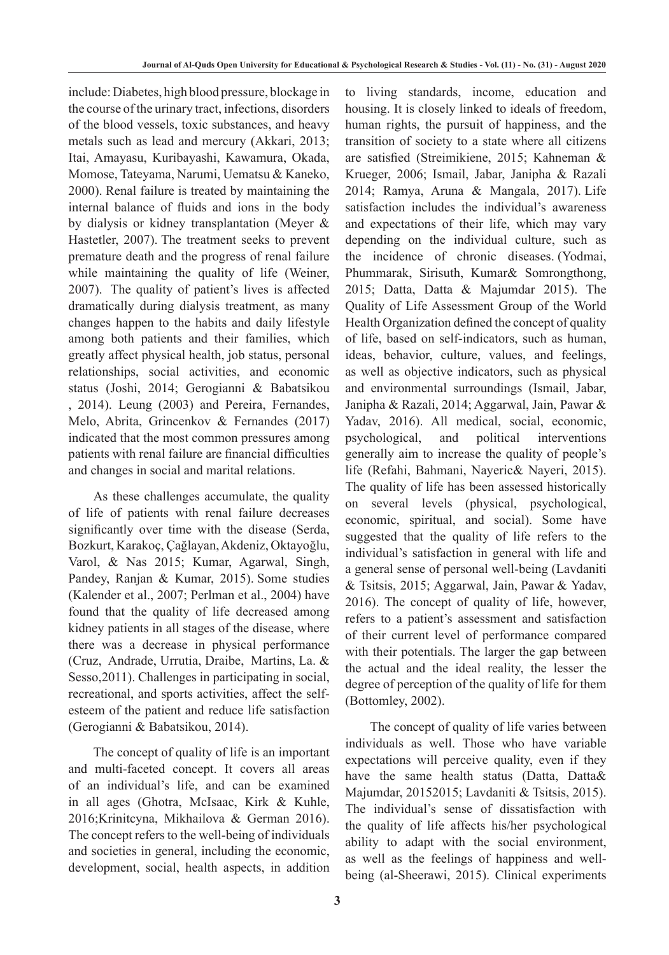include: Diabetes, high blood pressure, blockage in the course of the urinary tract, infections, disorders of the blood vessels, toxic substances, and heavy metals such as lead and mercury (Akkari, 2013; Itai, Amayasu, Kuribayashi, Kawamura, Okada, Momose, Tateyama, Narumi, Uematsu & Kaneko, 2000). Renal failure is treated by maintaining the internal balance of fluids and ions in the body by dialysis or kidney transplantation (Meyer & Hastetler, 2007). The treatment seeks to prevent premature death and the progress of renal failure while maintaining the quality of life (Weiner, 2007). The quality of patient's lives is affected dramatically during dialysis treatment, as many changes happen to the habits and daily lifestyle among both patients and their families, which greatly affect physical health, job status, personal relationships, social activities, and economic status (Joshi, 2014; Gerogianni & Babatsikou , 2014). Leung (2003) and Pereira, Fernandes, Melo, Abrita, Grincenkov & Fernandes (2017) indicated that the most common pressures among patients with renal failure are financial difficulties and changes in social and marital relations.

As these challenges accumulate, the quality of life of patients with renal failure decreases significantly over time with the disease (Serda, Bozkurt, Karakoç, Çağlayan, Akdeniz, Oktayoğlu, Varol, & Nas 2015; Kumar, Agarwal, Singh, Pandey, Ranjan & Kumar, 2015). Some studies (Kalender et al., 2007; Perlman et al., 2004) have found that the quality of life decreased among kidney patients in all stages of the disease, where there was a decrease in physical performance (Cruz, Andrade, Urrutia, Draibe, Martins, La. & Sesso,2011). Challenges in participating in social, recreational, and sports activities, affect the selfesteem of the patient and reduce life satisfaction (Gerogianni & Babatsikou, 2014).

The concept of quality of life is an important and multi-faceted concept. It covers all areas of an individual's life, and can be examined in all ages (Ghotra, McIsaac, Kirk & Kuhle, 2016;Krinitcyna, Mikhailova & German 2016). The concept refers to the well-being of individuals and societies in general, including the economic, development, social, health aspects, in addition

to living standards, income, education and housing. It is closely linked to ideals of freedom, human rights, the pursuit of happiness, and the transition of society to a state where all citizens are satisfied (Streimikiene, 2015; Kahneman & Krueger, 2006; Ismail, Jabar, Janipha & Razali 2014; Ramya, Aruna & Mangala, 2017). Life satisfaction includes the individual's awareness and expectations of their life, which may vary depending on the individual culture, such as the incidence of chronic diseases. (Yodmai, Phummarak, Sirisuth, Kumar& Somrongthong, 2015; Datta, Datta & Majumdar 2015). The Quality of Life Assessment Group of the World Health Organization defined the concept of quality of life, based on self-indicators, such as human, ideas, behavior, culture, values, and feelings, as well as objective indicators, such as physical and environmental surroundings (Ismail, Jabar, Janipha & Razali, 2014; Aggarwal, Jain, Pawar & Yadav, 2016). All medical, social, economic, psychological, and political interventions generally aim to increase the quality of people's life (Refahi, Bahmani, Nayeric& Nayeri, 2015). The quality of life has been assessed historically on several levels (physical, psychological, economic, spiritual, and social). Some have suggested that the quality of life refers to the individual's satisfaction in general with life and a general sense of personal well-being (Lavdaniti & Tsitsis, 2015; Aggarwal, Jain, Pawar & Yadav, 2016). The concept of quality of life, however, refers to a patient's assessment and satisfaction of their current level of performance compared with their potentials. The larger the gap between the actual and the ideal reality, the lesser the degree of perception of the quality of life for them (Bottomley, 2002).

The concept of quality of life varies between individuals as well. Those who have variable expectations will perceive quality, even if they have the same health status (Datta, Datta& Majumdar, 20152015; Lavdaniti & Tsitsis, 2015). The individual's sense of dissatisfaction with the quality of life affects his/her psychological ability to adapt with the social environment, as well as the feelings of happiness and wellbeing (al-Sheerawi, 2015). Clinical experiments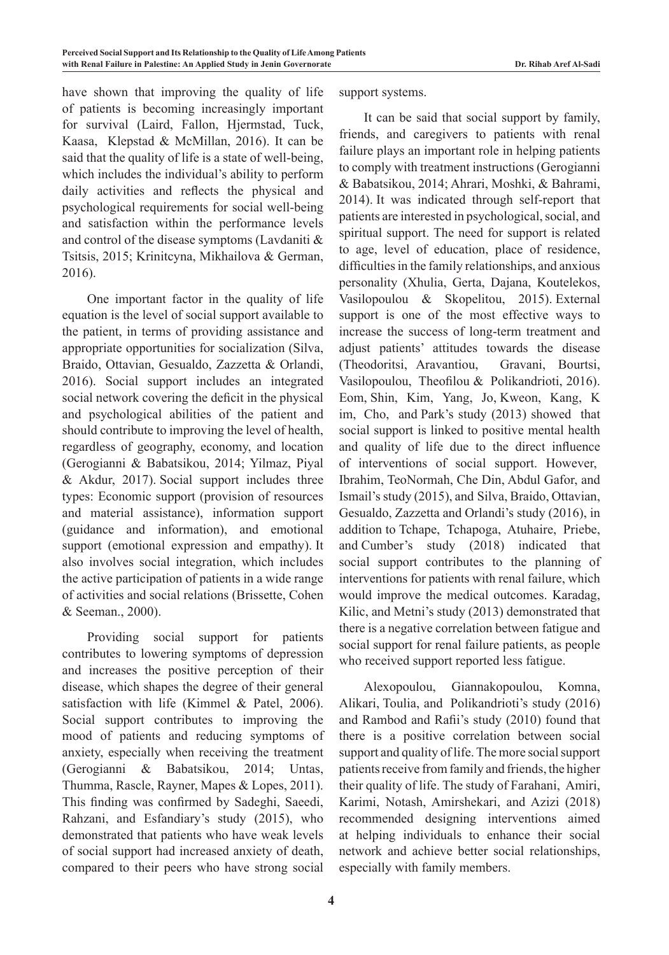have shown that improving the quality of life of patients is becoming increasingly important for survival (Laird, Fallon, Hjermstad, Tuck, Kaasa, Klepstad & McMillan, 2016). It can be said that the quality of life is a state of well-being, which includes the individual's ability to perform daily activities and reflects the physical and psychological requirements for social well-being and satisfaction within the performance levels and control of the disease symptoms (Lavdaniti & Tsitsis, 2015; Krinitcyna, Mikhailova & German, 2016).

One important factor in the quality of life equation is the level of social support available to the patient, in terms of providing assistance and appropriate opportunities for socialization (Silva, Braido, Ottavian, Gesualdo, Zazzetta & Orlandi, 2016). Social support includes an integrated social network covering the deficit in the physical and psychological abilities of the patient and should contribute to improving the level of health, regardless of geography, economy, and location (Gerogianni & Babatsikou, 2014; Yilmaz, Piyal & Akdur, 2017). Social support includes three types: Economic support (provision of resources and material assistance), information support (guidance and information), and emotional support (emotional expression and empathy). It also involves social integration, which includes the active participation of patients in a wide range of activities and social relations (Brissette, Cohen & Seeman., 2000).

Providing social support for patients contributes to lowering symptoms of depression and increases the positive perception of their disease, which shapes the degree of their general satisfaction with life (Kimmel & Patel, 2006). Social support contributes to improving the mood of patients and reducing symptoms of anxiety, especially when receiving the treatment (Gerogianni & Babatsikou, 2014; Untas, Thumma, Rascle, Rayner, Mapes & Lopes, 2011). This finding was confirmed by Sadeghi, Saeedi, Rahzani, and Esfandiary's study (2015), who demonstrated that patients who have weak levels of social support had increased anxiety of death, compared to their peers who have strong social

support systems.

It can be said that social support by family, friends, and caregivers to patients with renal failure plays an important role in helping patients to comply with treatment instructions (Gerogianni & Babatsikou, 2014; Ahrari, Moshki, & Bahrami, 2014). It was indicated through self-report that patients are interested in psychological, social, and spiritual support. The need for support is related to age, level of education, place of residence, difficulties in the family relationships, and anxious personality (Xhulia, Gerta, Dajana, Koutelekos, Vasilopoulou & Skopelitou, 2015). External support is one of the most effective ways to increase the success of long-term treatment and adjust patients' attitudes towards the disease (Theodoritsi, Aravantiou, Gravani, Bourtsi, Vasilopoulou, Theofilou & Polikandrioti, 2016). Eom, Shin, Kim, Yang, Jo, Kweon, Kang, K im, Cho, and Park's study (2013) showed that social support is linked to positive mental health and quality of life due to the direct influence of interventions of social support. However, Ibrahim, TeoNormah, Che Din, Abdul Gafor, and Ismail's study (2015), and Silva, Braido, Ottavian, Gesualdo, Zazzetta and Orlandi's study (2016), in addition to Tchape, Tchapoga, Atuhaire, Priebe, and Cumber's study (2018) indicated that social support contributes to the planning of interventions for patients with renal failure, which would improve the medical outcomes. Karadag, Kilic, and Metni's study (2013) demonstrated that there is a negative correlation between fatigue and social support for renal failure patients, as people who received support reported less fatigue.

Alexopoulou, Giannakopoulou, Komna, Alikari, Toulia, and Polikandrioti's study (2016) and Rambod and Rafii's study (2010) found that there is a positive correlation between social support and quality of life. The more social support patients receive from family and friends, the higher their quality of life. The study of Farahani, Amiri, Karimi, Notash, Amirshekari, and Azizi (2018) recommended designing interventions aimed at helping individuals to enhance their social network and achieve better social relationships, especially with family members.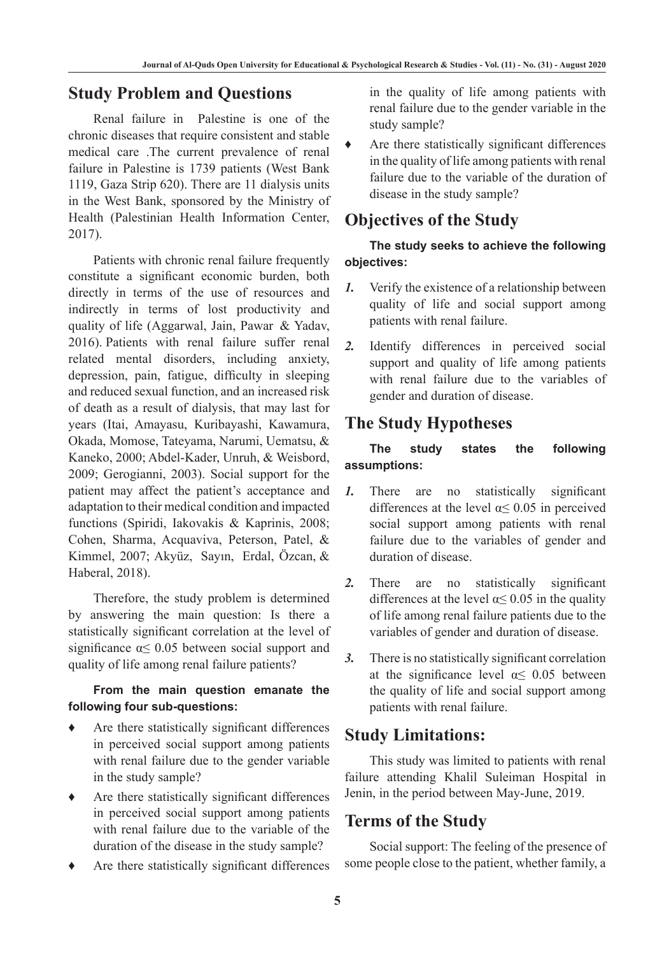## **Study Problem and Questions**

Renal failure in Palestine is one of the chronic diseases that require consistent and stable medical care .The current prevalence of renal failure in Palestine is 1739 patients (West Bank 1119, Gaza Strip 620). There are 11 dialysis units in the West Bank, sponsored by the Ministry of Health (Palestinian Health Information Center, 2017).

Patients with chronic renal failure frequently constitute a significant economic burden, both directly in terms of the use of resources and indirectly in terms of lost productivity and quality of life (Aggarwal, Jain, Pawar & Yadav, 2016). Patients with renal failure suffer renal related mental disorders, including anxiety, depression, pain, fatigue, difficulty in sleeping and reduced sexual function, and an increased risk of death as a result of dialysis, that may last for years (Itai, Amayasu, Kuribayashi, Kawamura, Okada, Momose, Tateyama, Narumi, Uematsu, & Kaneko, 2000; Abdel-Kader, Unruh, & Weisbord, 2009; Gerogianni, 2003). Social support for the patient may affect the patient's acceptance and adaptation to their medical condition and impacted functions (Spiridi, Iakovakis & Kaprinis, 2008; Cohen, Sharma, Acquaviva, Peterson, Patel, & Kimmel, 2007; Akyüz, Sayın, Erdal, Özcan, & Haberal, 2018).

Therefore, the study problem is determined by answering the main question: Is there a statistically significant correlation at the level of significance  $\alpha \leq 0.05$  between social support and quality of life among renal failure patients?

#### **From the main question emanate the following four sub-questions:**

- Are there statistically significant differences in perceived social support among patients with renal failure due to the gender variable in the study sample?
- Are there statistically significant differences in perceived social support among patients with renal failure due to the variable of the duration of the disease in the study sample?
- Are there statistically significant differences

in the quality of life among patients with renal failure due to the gender variable in the study sample?

Are there statistically significant differences in the quality of life among patients with renal failure due to the variable of the duration of disease in the study sample?

## **Objectives of the Study**

#### **The study seeks to achieve the following objectives:**

- *1.* Verify the existence of a relationship between quality of life and social support among patients with renal failure.
- *2.* Identify differences in perceived social support and quality of life among patients with renal failure due to the variables of gender and duration of disease.

## **The Study Hypotheses**

#### **The study states the following assumptions:**

- *1.* There are no statistically significant differences at the level  $\alpha \leq 0.05$  in perceived social support among patients with renal failure due to the variables of gender and duration of disease.
- *2.* There are no statistically significant differences at the level  $\alpha \le 0.05$  in the quality of life among renal failure patients due to the variables of gender and duration of disease.
- *3.* There is no statistically significant correlation at the significance level  $\alpha \leq 0.05$  between the quality of life and social support among patients with renal failure.

## **Study Limitations:**

This study was limited to patients with renal failure attending Khalil Suleiman Hospital in Jenin, in the period between May-June, 2019.

## **Terms of the Study**

Social support: The feeling of the presence of some people close to the patient, whether family, a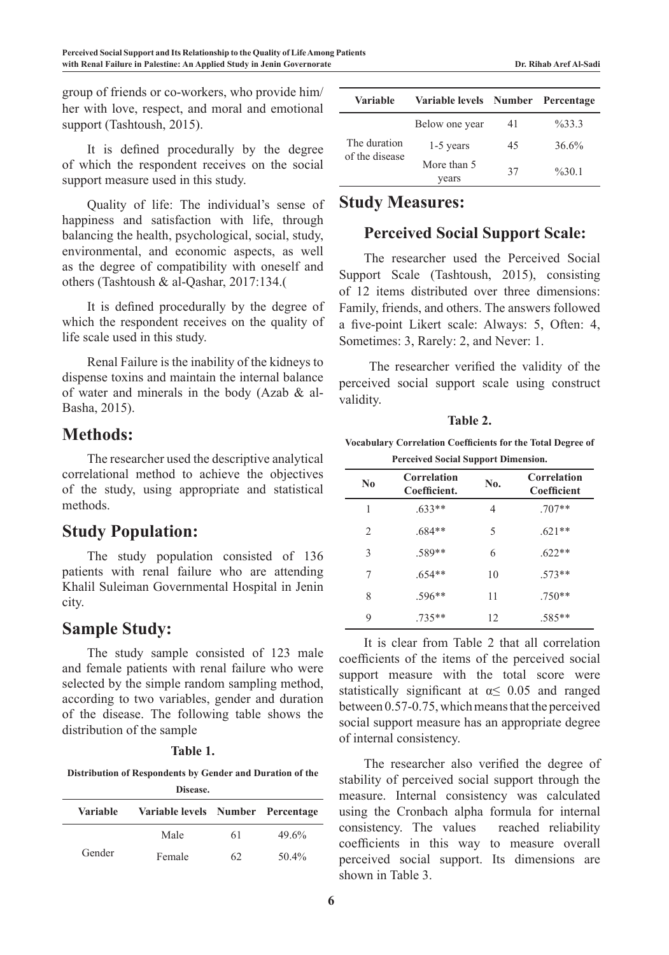group of friends or co-workers, who provide him/ her with love, respect, and moral and emotional support (Tashtoush, 2015).

It is defined procedurally by the degree of which the respondent receives on the social support measure used in this study.

Quality of life: The individual's sense of happiness and satisfaction with life, through balancing the health, psychological, social, study, environmental, and economic aspects, as well as the degree of compatibility with oneself and others (Tashtoush & al-Qashar, 2017:134.(

It is defined procedurally by the degree of which the respondent receives on the quality of life scale used in this study.

Renal Failure is the inability of the kidneys to dispense toxins and maintain the internal balance of water and minerals in the body (Azab & al-Basha, 2015).

## **Methods:**

The researcher used the descriptive analytical correlational method to achieve the objectives of the study, using appropriate and statistical methods.

## **Study Population:**

The study population consisted of 136 patients with renal failure who are attending Khalil Suleiman Governmental Hospital in Jenin city.

## **Sample Study:**

The study sample consisted of 123 male and female patients with renal failure who were selected by the simple random sampling method, according to two variables, gender and duration of the disease. The following table shows the distribution of the sample

#### **Table 1.**

**Distribution of Respondents by Gender and Duration of the Disease.**

| 17156456. |                                   |    |          |  |  |  |  |
|-----------|-----------------------------------|----|----------|--|--|--|--|
| Variable  | Variable levels Number Percentage |    |          |  |  |  |  |
|           | Male                              | 61 | $49.6\%$ |  |  |  |  |
| Gender    | Female                            | 62 | $50.4\%$ |  |  |  |  |

| <b>Variable</b>                | Variable levels Number |    | Percentage         |
|--------------------------------|------------------------|----|--------------------|
|                                | Below one year         | 41 | $\frac{9}{6}$ 33.3 |
| The duration<br>of the disease | $1-5$ years            | 45 | $36.6\%$           |
|                                | More than 5<br>vears   | 37 | $\frac{9}{6}30.1$  |

## **Study Measures:**

## **Perceived Social Support Scale:**

The researcher used the Perceived Social Support Scale (Tashtoush, 2015), consisting of 12 items distributed over three dimensions: Family, friends, and others. The answers followed a five-point Likert scale: Always: 5, Often: 4, Sometimes: 3, Rarely: 2, and Never: 1.

 The researcher verified the validity of the perceived social support scale using construct validity.

**Table 2.**

#### **Vocabulary Correlation Coefficients for the Total Degree of Perceived Social Support Dimension.**

| N <sub>0</sub> | <b>Correlation</b><br>Coefficient. | No. | <b>Correlation</b><br>Coefficient |
|----------------|------------------------------------|-----|-----------------------------------|
| 1              | $.633**$                           | 4   | $.707**$                          |
| 2              | $.684**$                           | 5   | $.621**$                          |
| 3              | .589**                             | 6   | $.622**$                          |
| 7              | $.654**$                           | 10  | $.573**$                          |
| 8              | .596**                             | 11  | $.750**$                          |
| 9              | $.735**$                           | 12  | .585**                            |

It is clear from Table 2 that all correlation coefficients of the items of the perceived social support measure with the total score were statistically significant at  $\alpha \leq 0.05$  and ranged between 0.57-0.75, which means that the perceived social support measure has an appropriate degree of internal consistency.

The researcher also verified the degree of stability of perceived social support through the measure. Internal consistency was calculated using the Cronbach alpha formula for internal consistency. The values reached reliability coefficients in this way to measure overall perceived social support. Its dimensions are shown in Table 3.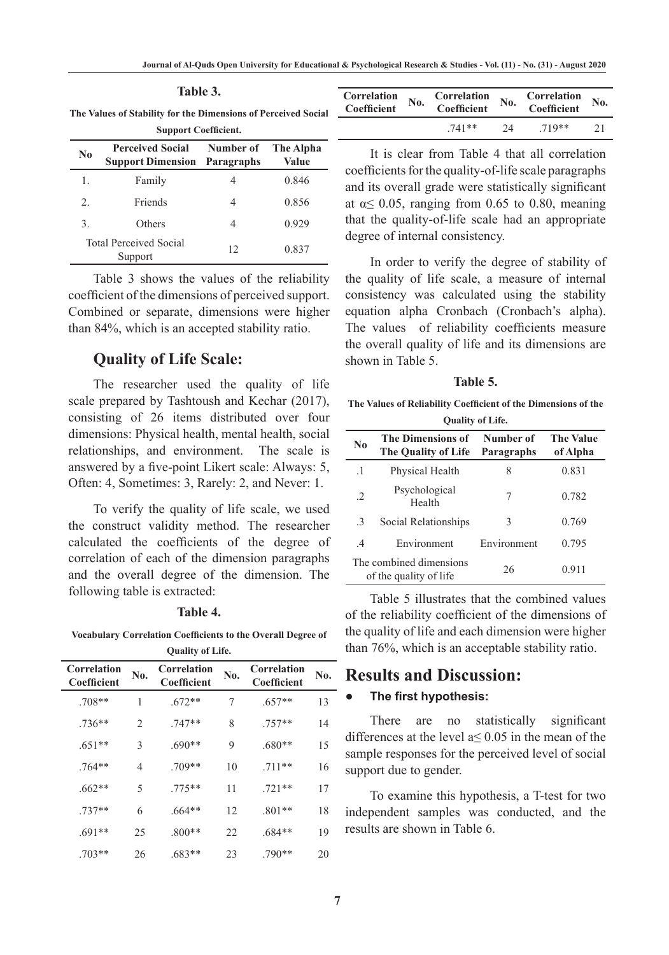| The Values of Stability for the Dimensions of Perceived Social<br><b>Support Coefficient.</b> |                                                                |           |                    |  |  |
|-----------------------------------------------------------------------------------------------|----------------------------------------------------------------|-----------|--------------------|--|--|
| N <sub>0</sub>                                                                                | <b>Perceived Social</b><br><b>Support Dimension Paragraphs</b> | Number of | The Alpha<br>Value |  |  |

**Table 3.**

|    | $\beta$ upport Dimension - I alagraphs   |    | ,     |
|----|------------------------------------------|----|-------|
| l. | Family                                   |    | 0.846 |
| 2. | Friends                                  |    | 0.856 |
| 3. | Others                                   |    | 0.929 |
|    | <b>Total Perceived Social</b><br>Support | 12 | 0.837 |

Table 3 shows the values of the reliability coefficient of the dimensions of perceived support. Combined or separate, dimensions were higher than 84%, which is an accepted stability ratio.

#### **Quality of Life Scale:**

The researcher used the quality of life scale prepared by Tashtoush and Kechar (2017), consisting of 26 items distributed over four dimensions: Physical health, mental health, social relationships, and environment. The scale is answered by a five-point Likert scale: Always: 5, Often: 4, Sometimes: 3, Rarely: 2, and Never: 1.

To verify the quality of life scale, we used the construct validity method. The researcher calculated the coefficients of the degree of correlation of each of the dimension paragraphs and the overall degree of the dimension. The following table is extracted:

#### **Table 4.**

**Vocabulary Correlation Coefficients to the Overall Degree of Quality of Life.**

| Correlation<br><b>Coefficient</b> | No. | Correlation<br>Coefficient | No. | Correlation<br><b>Coefficient</b> | No. |
|-----------------------------------|-----|----------------------------|-----|-----------------------------------|-----|
| $.708**$                          | 1   | $.672**$                   | 7   | $.657**$                          | 13  |
| $.736**$                          | 2   | $.747**$                   | 8   | $.757**$                          | 14  |
| $.651**$                          | 3   | $.690**$                   | 9   | $.680**$                          | 15  |
| $.764**$                          | 4   | .709**                     | 10  | $.711**$                          | 16  |
| $.662**$                          | 5   | 775**                      | 11  | $.721**$                          | 17  |
| $.737**$                          | 6   | $.664**$                   | 12  | $.801**$                          | 18  |
| $.691**$                          | 25  | $.800**$                   | 22  | $.684**$                          | 19  |
| $.703**$                          | 26  | $.683**$                   | 23  | $.790**$                          | 20  |

| Correlation<br>Coefficient | $\overline{\textbf{N}}$ <sub>0</sub> . | Correlation<br>Coefficient | Correlation<br>$\mathbf{N}\mathbf{0}$ .<br>Coefficient |       | No. |
|----------------------------|----------------------------------------|----------------------------|--------------------------------------------------------|-------|-----|
|                            |                                        | 741**                      | $2\pi$                                                 | 719** | 21  |

It is clear from Table 4 that all correlation coefficients for the quality-of-life scale paragraphs and its overall grade were statistically significant at  $\alpha$  < 0.05, ranging from 0.65 to 0.80, meaning that the quality-of-life scale had an appropriate degree of internal consistency.

In order to verify the degree of stability of the quality of life scale, a measure of internal consistency was calculated using the stability equation alpha Cronbach (Cronbach's alpha). The values of reliability coefficients measure the overall quality of life and its dimensions are shown in Table 5.

#### **Table 5.**

**The Values of Reliability Coefficient of the Dimensions of the Quality of Life.**

| N <sub>0</sub> | <b>The Dimensions of</b><br>The Quality of Life   | Number of<br>Paragraphs | <b>The Value</b><br>of Alpha |
|----------------|---------------------------------------------------|-------------------------|------------------------------|
| $\cdot^1$      | Physical Health                                   | 8                       | 0.831                        |
| $\cdot$ 2      | Psychological<br>Health                           | 7                       | 0.782                        |
| $\mathcal{E}$  | Social Relationships                              | 3                       | 0.769                        |
| $\mathcal{A}$  | Environment                                       | Environment             | 0.795                        |
|                | The combined dimensions<br>of the quality of life | 26                      | 0.911                        |

Table 5 illustrates that the combined values of the reliability coefficient of the dimensions of the quality of life and each dimension were higher than 76%, which is an acceptable stability ratio.

### **Results and Discussion:**

#### *●* **The first hypothesis:**

There are no statistically significant differences at the level a≤ 0.05 in the mean of the sample responses for the perceived level of social support due to gender.

To examine this hypothesis, a T-test for two independent samples was conducted, and the results are shown in Table 6.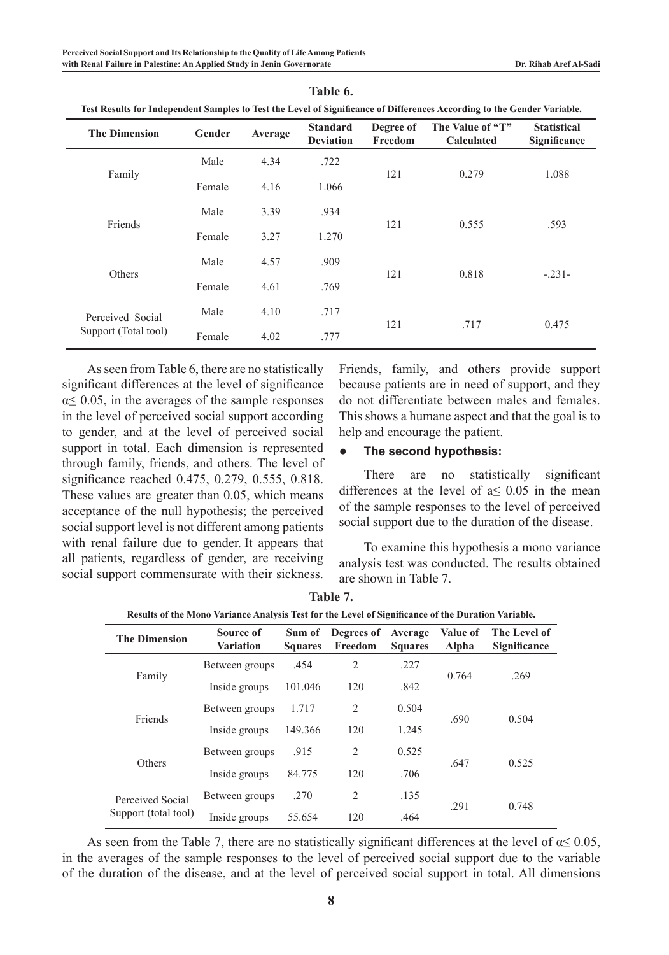| Test Results for Independent Samples to Test the Level of Significance of Differences According to the Gender Variable. |        |         |                                     |                      |                                       |                                    |  |  |
|-------------------------------------------------------------------------------------------------------------------------|--------|---------|-------------------------------------|----------------------|---------------------------------------|------------------------------------|--|--|
| <b>The Dimension</b>                                                                                                    | Gender | Average | <b>Standard</b><br><b>Deviation</b> | Degree of<br>Freedom | The Value of "T"<br><b>Calculated</b> | <b>Statistical</b><br>Significance |  |  |
| Family                                                                                                                  | Male   | 4.34    | .722                                | 121                  | 0.279                                 | 1.088                              |  |  |
|                                                                                                                         | Female | 4.16    | 1.066                               |                      |                                       |                                    |  |  |
| Friends                                                                                                                 | Male   | 3.39    | .934                                | 121                  | 0.555                                 | .593                               |  |  |
|                                                                                                                         | Female | 3.27    | 1.270                               |                      |                                       |                                    |  |  |
|                                                                                                                         | Male   | 4.57    | .909                                |                      |                                       |                                    |  |  |
| Others                                                                                                                  | Female | 4.61    | .769                                | 121                  | 0.818                                 | $-.231-$                           |  |  |
| Perceived Social<br>Support (Total tool)                                                                                | Male   | 4.10    | .717                                |                      |                                       |                                    |  |  |
|                                                                                                                         | Female | 4.02    | .777                                | 121                  | .717                                  | 0.475                              |  |  |

**Table 6.**

As seen from Table 6, there are no statistically significant differences at the level of significance  $\alpha \leq 0.05$ , in the averages of the sample responses in the level of perceived social support according to gender, and at the level of perceived social support in total. Each dimension is represented through family, friends, and others. The level of significance reached 0.475, 0.279, 0.555, 0.818. These values are greater than 0.05, which means acceptance of the null hypothesis; the perceived social support level is not different among patients with renal failure due to gender. It appears that all patients, regardless of gender, are receiving social support commensurate with their sickness. **Table 7.**

Friends, family, and others provide support because patients are in need of support, and they do not differentiate between males and females. This shows a humane aspect and that the goal is to help and encourage the patient.

#### *●* **The second hypothesis:**

There are no statistically significant differences at the level of  $a \le 0.05$  in the mean of the sample responses to the level of perceived social support due to the duration of the disease.

To examine this hypothesis a mono variance analysis test was conducted. The results obtained are shown in Table 7.

| Results of the Mono Variance Analysis Test for the Level of Significance of the Duration Variable. |                        |                          |                       |                           |                   |                              |  |  |
|----------------------------------------------------------------------------------------------------|------------------------|--------------------------|-----------------------|---------------------------|-------------------|------------------------------|--|--|
| <b>The Dimension</b>                                                                               | Source of<br>Variation | Sum of<br><b>Squares</b> | Degrees of<br>Freedom | Average<br><b>Squares</b> | Value of<br>Alpha | The Level of<br>Significance |  |  |
|                                                                                                    | Between groups         | .454                     | $\overline{2}$        | .227                      | 0.764             |                              |  |  |
| Family                                                                                             | Inside groups          | 101.046                  | 120                   | .842                      |                   | .269                         |  |  |
| Friends                                                                                            | Between groups         | 1.717                    | 2                     | 0.504                     |                   | 0.504                        |  |  |
|                                                                                                    | Inside groups          | 149.366                  | 120                   | 1.245                     | .690              |                              |  |  |
|                                                                                                    | Between groups         | .915                     | 2                     | 0.525                     |                   |                              |  |  |
| Others                                                                                             | Inside groups          | 84.775                   | 120                   | .706                      | .647              | 0.525                        |  |  |
| Perceived Social<br>Support (total tool)                                                           | Between groups         | .270                     | 2                     | .135                      |                   |                              |  |  |
|                                                                                                    | Inside groups          | 55.654                   | 120                   | .464                      | .291              | 0.748                        |  |  |

As seen from the Table 7, there are no statistically significant differences at the level of  $\alpha \leq 0.05$ , in the averages of the sample responses to the level of perceived social support due to the variable of the duration of the disease, and at the level of perceived social support in total. All dimensions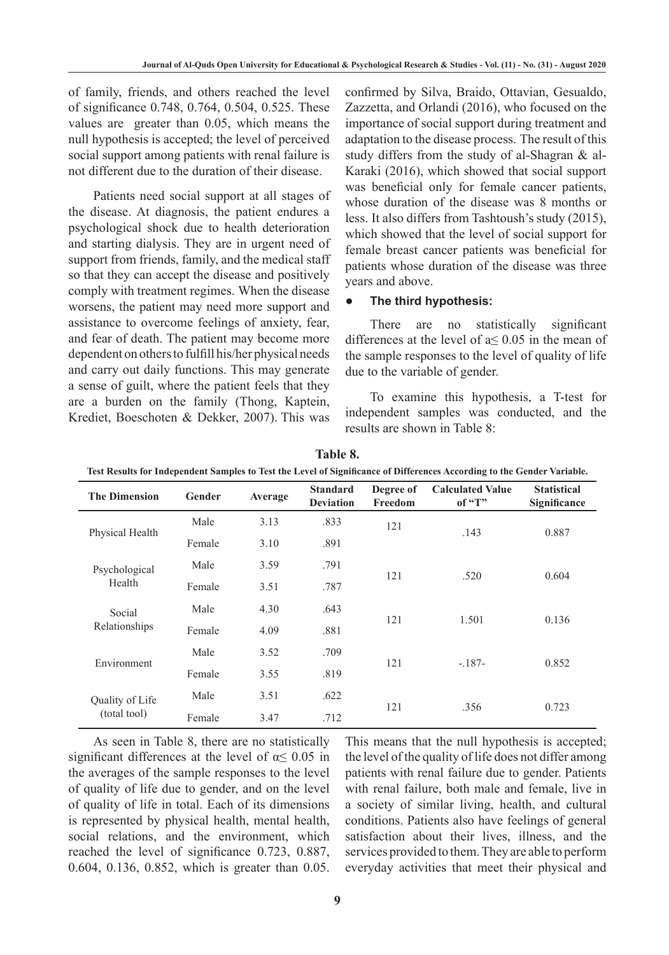of family, friends, and others reached the level of significance 0.748, 0.764, 0.504, 0.525. These values are greater than 0.05, which means the null hypothesis is accepted; the level of perceived social support among patients with renal failure is not different due to the duration of their disease.

Patients need social support at all stages of the disease. At diagnosis, the patient endures a psychological shock due to health deterioration and starting dialysis. They are in urgent need of support from friends, family, and the medical staff so that they can accept the disease and positively comply with treatment regimes. When the disease worsens, the patient may need more support and assistance to overcome feelings of anxiety, fear, and fear of death. The patient may become more dependent on others to fulfill his/her physical needs and carry out daily functions. This may generate a sense of guilt, where the patient feels that they are a burden on the family (Thong, Kaptein, Krediet, Boeschoten & Dekker, 2007). This was

confirmed by Silva, Braido, Ottavian, Gesualdo, Zazzetta, and Orlandi (2016), who focused on the importance of social support during treatment and adaptation to the disease process. The result of this study differs from the study of al-Shagran & al-Karaki (2016), which showed that social support was beneficial only for female cancer patients, whose duration of the disease was 8 months or less. It also differs from Tashtoush's study (2015), which showed that the level of social support for female breast cancer patients was beneficial for patients whose duration of the disease was three years and above.

#### *●* **The third hypothesis:**

There are no statistically significant differences at the level of  $a \le 0.05$  in the mean of the sample responses to the level of quality of life due to the variable of gender.

To examine this hypothesis, a T-test for independent samples was conducted, and the results are shown in Table 8:

| <b>The Dimension</b>    | Gender | Average | <b>Standard</b><br><b>Deviation</b> | Degree of<br>Freedom | <b>Calculated Value</b><br>of " $T$ " | <b>Statistical</b><br>Significance |  |
|-------------------------|--------|---------|-------------------------------------|----------------------|---------------------------------------|------------------------------------|--|
|                         | Male   | 3.13    | .833                                | 121                  | .143                                  | 0.887                              |  |
| Physical Health         | Female | 3.10    | .891                                |                      |                                       |                                    |  |
| Psychological           | Male   | 3.59    | .791                                |                      |                                       |                                    |  |
| Health                  | Female | 3.51    | .787                                | 121                  | .520                                  | 0.604                              |  |
| Social<br>Relationships | Male   | 4.30    | .643                                |                      |                                       |                                    |  |
|                         | Female | 4.09    | .881                                | 121                  | 1.501                                 | 0.136                              |  |
|                         | Male   | 3.52    | .709                                |                      |                                       |                                    |  |
| Environment             | Female | 3.55    | .819                                | 121                  | $-.187-$                              | 0.852                              |  |
| Quality of Life         | Male   | 3.51    | .622                                |                      |                                       |                                    |  |
| (total tool)            | Female | 3.47    | .712                                | 121                  | .356                                  | 0.723                              |  |

**Table 8.**

**Test Results for Independent Samples to Test the Level of Significance of Differences According to the Gender Variable.**

As seen in Table 8, there are no statistically significant differences at the level of  $\alpha \leq 0.05$  in the averages of the sample responses to the level of quality of life due to gender, and on the level of quality of life in total. Each of its dimensions is represented by physical health, mental health, social relations, and the environment, which reached the level of significance 0.723, 0.887, 0.604, 0.136, 0.852, which is greater than 0.05. This means that the null hypothesis is accepted; the level of the quality of life does not differ among patients with renal failure due to gender. Patients with renal failure, both male and female, live in a society of similar living, health, and cultural conditions. Patients also have feelings of general satisfaction about their lives, illness, and the services provided to them. They are able to perform everyday activities that meet their physical and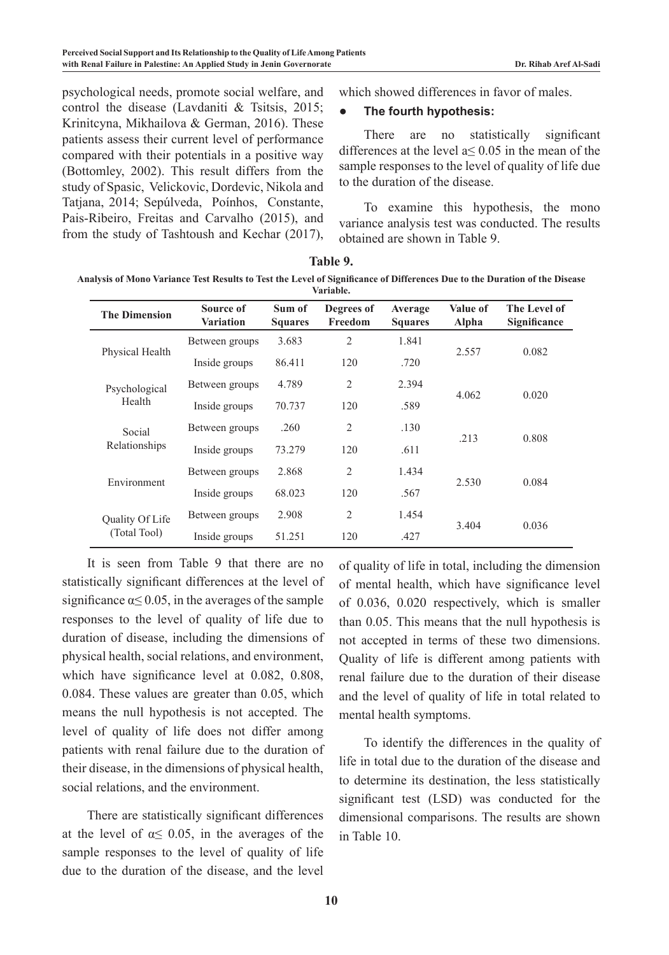psychological needs, promote social welfare, and control the disease (Lavdaniti & Tsitsis, 2015; Krinitcyna, Mikhailova & German, 2016). These patients assess their current level of performance compared with their potentials in a positive way (Bottomley, 2002). This result differs from the study of Spasic, Velickovic, Dordevic, Nikola and Tatjana, 2014; Sepúlveda, Poínhos, Constante, Pais-Ribeiro, Freitas and Carvalho (2015), and from the study of Tashtoush and Kechar (2017),

which showed differences in favor of males.

#### *●* **The fourth hypothesis:**

There are no statistically significant differences at the level  $a \le 0.05$  in the mean of the sample responses to the level of quality of life due to the duration of the disease.

To examine this hypothesis, the mono variance analysis test was conducted. The results obtained are shown in Table 9.

| <b>The Dimension</b>    | Source of<br><b>Variation</b> | Sum of<br><b>Squares</b> | Degrees of<br>Freedom | Average<br><b>Squares</b> | <b>Value of</b><br>Alpha | The Level of<br>Significance |
|-------------------------|-------------------------------|--------------------------|-----------------------|---------------------------|--------------------------|------------------------------|
|                         | Between groups                | 3.683                    | $\overline{2}$        | 1.841                     |                          |                              |
| Physical Health         | Inside groups                 | 86.411                   | 120                   | .720                      | 2.557                    | 0.082                        |
| Psychological           | Between groups                | 4.789                    | 2                     | 2.394                     |                          | 0.020                        |
| Health                  | Inside groups                 | 70.737                   | 120                   | .589                      | 4.062                    |                              |
| Social<br>Relationships | Between groups                | .260                     | 2                     | .130                      |                          |                              |
|                         | Inside groups                 | 73.279                   | 120                   | .611                      | .213                     | 0.808                        |
|                         | Between groups                | 2.868                    | $\overline{2}$        | 1.434                     |                          |                              |
| Environment             | Inside groups                 | 68.023                   | 120                   | .567                      | 2.530                    | 0.084                        |
| Quality Of Life         | Between groups                | 2.908                    | 2                     | 1.454                     |                          |                              |
| (Total Tool)            | Inside groups                 | 51.251                   | 120                   | .427                      | 3.404                    | 0.036                        |

**Table 9.** 

**Analysis of Mono Variance Test Results to Test the Level of Significance of Differences Due to the Duration of the Disease Variable.**

It is seen from Table 9 that there are no statistically significant differences at the level of significance  $\alpha \leq 0.05$ , in the averages of the sample responses to the level of quality of life due to duration of disease, including the dimensions of physical health, social relations, and environment, which have significance level at 0.082, 0.808, 0.084. These values are greater than 0.05, which means the null hypothesis is not accepted. The level of quality of life does not differ among patients with renal failure due to the duration of their disease, in the dimensions of physical health, social relations, and the environment.

There are statistically significant differences at the level of  $\alpha \leq 0.05$ , in the averages of the sample responses to the level of quality of life due to the duration of the disease, and the level of quality of life in total, including the dimension of mental health, which have significance level of 0.036, 0.020 respectively, which is smaller than 0.05. This means that the null hypothesis is not accepted in terms of these two dimensions. Quality of life is different among patients with renal failure due to the duration of their disease and the level of quality of life in total related to mental health symptoms.

To identify the differences in the quality of life in total due to the duration of the disease and to determine its destination, the less statistically significant test (LSD) was conducted for the dimensional comparisons. The results are shown in Table 10.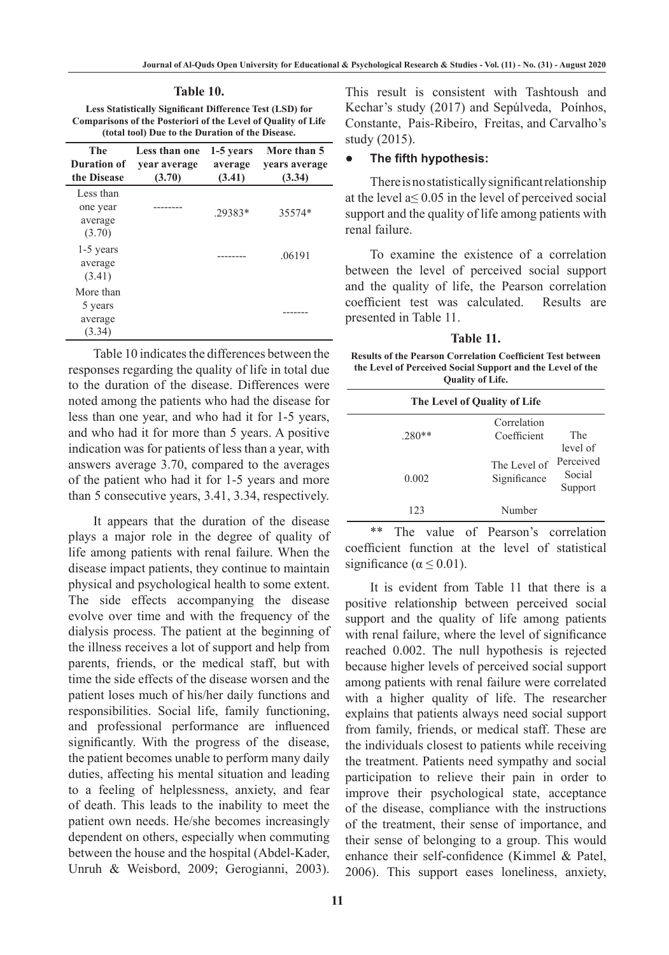**Table 10.**

**Less Statistically Significant Difference Test (LSD) for Comparisons of the Posteriori of the Level of Quality of Life (total tool) Due to the Duration of the Disease.**

| The<br>Duration of<br>the Disease          | Less than one<br>vear average<br>(3.70) | 1-5 years<br>average<br>(3.41) | More than 5<br>vears average<br>(3.34) |
|--------------------------------------------|-----------------------------------------|--------------------------------|----------------------------------------|
| Less than<br>one year<br>average<br>(3.70) |                                         | $.29383*$                      | 35574*                                 |
| 1-5 years<br>average<br>(3.41)             |                                         |                                | .06191                                 |
| More than<br>5 years<br>average<br>(3.34)  |                                         |                                |                                        |

Table 10 indicates the differences between the responses regarding the quality of life in total due to the duration of the disease. Differences were noted among the patients who had the disease for less than one year, and who had it for 1-5 years, and who had it for more than 5 years. A positive indication was for patients of less than a year, with answers average 3.70, compared to the averages of the patient who had it for 1-5 years and more than 5 consecutive years, 3.41, 3.34, respectively.

It appears that the duration of the disease plays a major role in the degree of quality of life among patients with renal failure. When the disease impact patients, they continue to maintain physical and psychological health to some extent. The side effects accompanying the disease evolve over time and with the frequency of the dialysis process. The patient at the beginning of the illness receives a lot of support and help from parents, friends, or the medical staff, but with time the side effects of the disease worsen and the patient loses much of his/her daily functions and responsibilities. Social life, family functioning, and professional performance are influenced significantly. With the progress of the disease, the patient becomes unable to perform many daily duties, affecting his mental situation and leading to a feeling of helplessness, anxiety, and fear of death. This leads to the inability to meet the patient own needs. He/she becomes increasingly dependent on others, especially when commuting between the house and the hospital (Abdel-Kader, Unruh & Weisbord, 2009; Gerogianni, 2003).

**11**

This result is consistent with Tashtoush and Kechar's study (2017) and Sepúlveda, Poínhos, Constante, Pais-Ribeiro, Freitas, and Carvalho's study (2015).

#### *●* **The fifth hypothesis:**

There is no statistically significant relationship at the level  $a \le 0.05$  in the level of perceived social support and the quality of life among patients with renal failure.

To examine the existence of a correlation between the level of perceived social support and the quality of life, the Pearson correlation coefficient test was calculated. Results are presented in Table 11.

**Table 11.**

**Results of the Pearson Correlation Coefficient Test between the Level of Perceived Social Support and the Level of the Quality of Life.**

| The Level of Quality of Life |                              |                                |  |
|------------------------------|------------------------------|--------------------------------|--|
| $.280**$                     | Correlation<br>Coefficient   | The<br>level of                |  |
| 0.002                        | The Level of<br>Significance | Perceived<br>Social<br>Support |  |
| 123                          | Number                       |                                |  |

\*\* The value of Pearson's correlation coefficient function at the level of statistical significance ( $\alpha \leq 0.01$ ).

It is evident from Table 11 that there is a positive relationship between perceived social support and the quality of life among patients with renal failure, where the level of significance reached 0.002. The null hypothesis is rejected because higher levels of perceived social support among patients with renal failure were correlated with a higher quality of life. The researcher explains that patients always need social support from family, friends, or medical staff. These are the individuals closest to patients while receiving the treatment. Patients need sympathy and social participation to relieve their pain in order to improve their psychological state, acceptance of the disease, compliance with the instructions of the treatment, their sense of importance, and their sense of belonging to a group. This would enhance their self-confidence (Kimmel & Patel, 2006). This support eases loneliness, anxiety,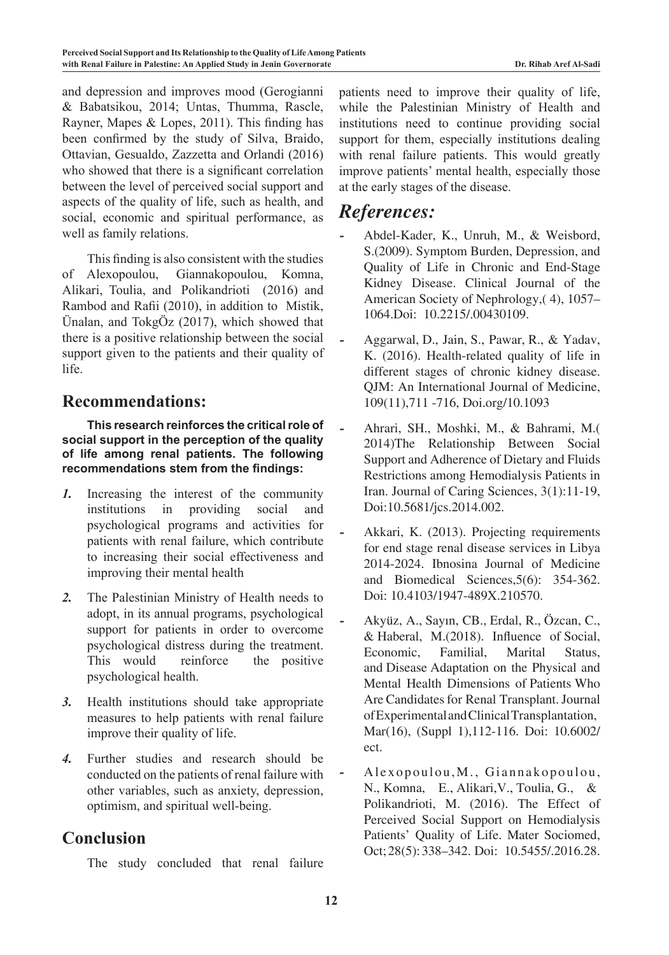and depression and improves mood (Gerogianni & Babatsikou, 2014; Untas, Thumma, Rascle, Rayner, Mapes & Lopes, 2011). This finding has been confirmed by the study of Silva, Braido, Ottavian, Gesualdo, Zazzetta and Orlandi (2016) who showed that there is a significant correlation between the level of perceived social support and aspects of the quality of life, such as health, and social, economic and spiritual performance, as well as family relations.

This finding is also consistent with the studies of Alexopoulou, Giannakopoulou, Komna, Alikari, Toulia, and Polikandrioti (2016) and Rambod and Rafii (2010), in addition to Mistik, Ünalan, and TokgÖz (2017), which showed that there is a positive relationship between the social support given to the patients and their quality of life.

## **Recommendations:**

**This research reinforces the critical role of social support in the perception of the quality of life among renal patients. The following recommendations stem from the findings:**

- *1.* Increasing the interest of the community institutions in providing social and psychological programs and activities for patients with renal failure, which contribute to increasing their social effectiveness and improving their mental health
- *2.* The Palestinian Ministry of Health needs to adopt, in its annual programs, psychological support for patients in order to overcome psychological distress during the treatment. This would reinforce the positive psychological health.
- *3.* Health institutions should take appropriate measures to help patients with renal failure improve their quality of life.
- *4.* Further studies and research should be conducted on the patients of renal failure with other variables, such as anxiety, depression, optimism, and spiritual well-being.

## **Conclusion**

The study concluded that renal failure

patients need to improve their quality of life, while the Palestinian Ministry of Health and institutions need to continue providing social support for them, especially institutions dealing with renal failure patients. This would greatly improve patients' mental health, especially those at the early stages of the disease.

## *References:*

- *-* Abdel-Kader, K., Unruh, M., & Weisbord, S.(2009). Symptom Burden, Depression, and Quality of Life in Chronic and End-Stage Kidney Disease. Clinical Journal of the American Society of Nephrology,( 4), 1057– 1064.Doi: 10.2215/.00430109.
- *-* Aggarwal, D., Jain, S., Pawar, R., & Yadav, K. (2016). Health-related quality of life in different stages of chronic kidney disease. QJM: An International Journal of Medicine, 109(11),711 -716, Doi.org/10.1093
- *-* Ahrari, SH., Moshki, M., & Bahrami, M.( 2014)The Relationship Between Social Support and Adherence of Dietary and Fluids Restrictions among Hemodialysis Patients in Iran. Journal of Caring Sciences, 3(1):11-19, Doi:10.5681/jcs.2014.002.
- *-* Akkari, K. (2013). Projecting requirements for end stage renal disease services in Libya 2014-2024. Ibnosina Journal of Medicine and Biomedical Sciences,5(6): 354-362. Doi: 10.4103/1947-489X.210570.
- *-* Akyüz, A., Sayın, CB., Erdal, R., Özcan, C., & Haberal, M.(2018). Influence of Social, Economic, Familial, Marital Status, and Disease Adaptation on the Physical and Mental Health Dimensions of Patients Who Are Candidates for Renal Transplant. Journal ofExperimentalandClinicalTransplantation, Mar(16), (Suppl 1),112-116. Doi: 10.6002/ ect.
- *-* Alexopoulou,M., Giannakopoulou, N., Komna, E., Alikari,V., Toulia, G., & Polikandrioti, M. (2016). The Effect of Perceived Social Support on Hemodialysis Patients' Quality of Life. Mater Sociomed, Oct;28(5):338–342. Doi: 10.5455/.2016.28.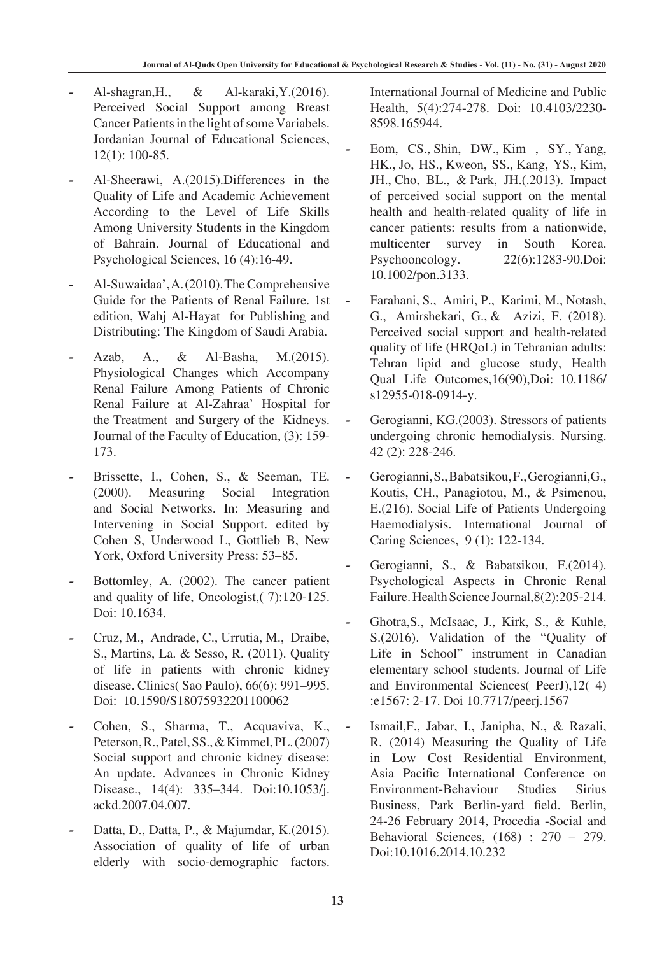- *-* Al-shagran,H., & Al-karaki,Y.(2016). Perceived Social Support among Breast Cancer Patients in the light of some Variabels. Jordanian Journal of Educational Sciences, 12(1): 100-85.
- *-* Al-Sheerawi, A.(2015).Differences in the Quality of Life and Academic Achievement According to the Level of Life Skills Among University Students in the Kingdom of Bahrain. Journal of Educational and Psychological Sciences, 16 (4):16-49.
- *-* Al-Suwaidaa',A.(2010).The Comprehensive Guide for the Patients of Renal Failure. 1st edition, Wahj Al-Hayat for Publishing and Distributing: The Kingdom of Saudi Arabia.
- *-* Azab, A., & Al-Basha, M.(2015). Physiological Changes which Accompany Renal Failure Among Patients of Chronic Renal Failure at Al-Zahraa' Hospital for the Treatment and Surgery of the Kidneys. Journal of the Faculty of Education, (3): 159- 173.
- *-* Brissette, I., Cohen, S., & Seeman, TE. (2000). Measuring Social Integration and Social Networks. In: Measuring and Intervening in Social Support. edited by Cohen S, Underwood L, Gottlieb B, New York, Oxford University Press: 53–85.
- *-* Bottomley, A. (2002). The cancer patient and quality of life, Oncologist,( 7):120-125. Doi: 10.1634.
- *-* Cruz, M., Andrade, C., Urrutia, M., Draibe, S., Martins, La. & Sesso, R. (2011). Quality of life in patients with chronic kidney disease. Clinics( Sao Paulo), 66(6): 991–995. Doi: 10.1590/S18075932201100062
- *-* Cohen, S., Sharma, T., Acquaviva, K., Peterson, R., Patel, SS., & Kimmel, PL. (2007) Social support and chronic kidney disease: An update. Advances in Chronic Kidney Disease., 14(4): 335–344. Doi:10.1053/j. ackd.2007.04.007.
- *-* Datta, D., Datta, P., & Majumdar, K.(2015). Association of quality of life of urban elderly with socio-demographic factors.

International Journal of Medicine and Public Health, 5(4):274-278. Doi: 10.4103/2230- 8598.165944.

- *-* Eom, CS., Shin, DW., Kim , SY., Yang, HK., Jo, HS., Kweon, SS., Kang, YS., Kim, JH., Cho, BL., & Park, JH.(.2013). Impact of perceived social support on the mental health and health-related quality of life in cancer patients: results from a nationwide, multicenter survey in South Korea. Psychooncology. 22(6):1283-90.Doi: 10.1002/pon.3133.
- *-* Farahani, S., Amiri, P., Karimi, M., Notash, G., Amirshekari, G., & Azizi, F. (2018). Perceived social support and health-related quality of life (HRQoL) in Tehranian adults: Tehran lipid and glucose study, Health Qual Life Outcomes,16(90),Doi: 10.1186/ s12955-018-0914-y.
- Gerogianni, KG.(2003). Stressors of patients undergoing chronic hemodialysis. Nursing. 42 (2): 228-246.
- *-* Gerogianni,S.,Babatsikou,F.,Gerogianni,G., Koutis, CH., Panagiotou, M., & Psimenou, E.(216). Social Life of Patients Undergoing Haemodialysis. International Journal of Caring Sciences, 9 (1): 122-134.
- Gerogianni, S., & Babatsikou, F.(2014). Psychological Aspects in Chronic Renal Failure. Health Science Journal, 8(2): 205-214.
- *-* Ghotra,S., McIsaac, J., Kirk, S., & Kuhle, S.(2016). Validation of the "Quality of Life in School" instrument in Canadian elementary school students. Journal of Life and Environmental Sciences( PeerJ),12( 4) :e1567: 2-17. Doi 10.7717/peerj.1567
- *-* Ismail,F., Jabar, I., Janipha, N., & Razali, R. (2014) Measuring the Quality of Life in Low Cost Residential Environment, Asia Pacific International Conference on Environment-Behaviour Studies Sirius Business, Park Berlin-yard field. Berlin, 24-26 February 2014, Procedia -Social and Behavioral Sciences, (168) : 270 – 279. Doi:10.1016.2014.10.232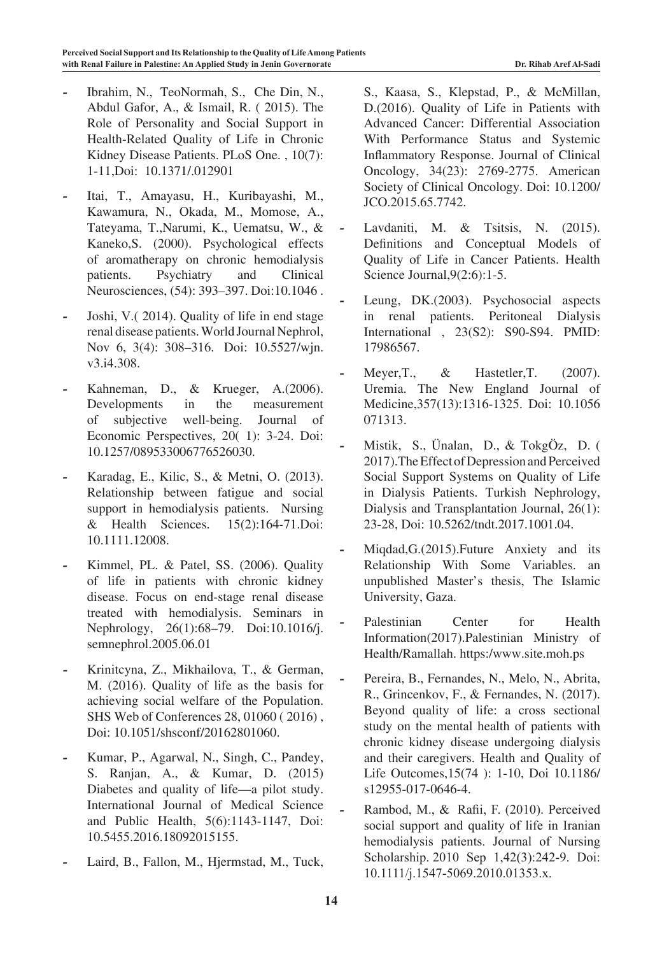- *-* Ibrahim, N., TeoNormah, S., Che Din, N., Abdul Gafor, A., & Ismail, R. ( 2015). The Role of Personality and Social Support in Health-Related Quality of Life in Chronic Kidney Disease Patients. PLoS One. , 10(7): 1-11,Doi: 10.1371/.012901
- *-* Itai, T., Amayasu, H., Kuribayashi, M., Kawamura, N., Okada, M., Momose, A., Tateyama, T.,Narumi, K., Uematsu, W., & Kaneko,S. (2000). Psychological effects of aromatherapy on chronic hemodialysis patients. Psychiatry and Clinical Neurosciences, (54): 393–397. Doi:10.1046 .
- *-* Joshi, V.( 2014). Quality of life in end stage renal disease patients. World Journal Nephrol, Nov 6, 3(4): 308-316. Doi: 10.5527/wjn. v3.i4.308.
- *-* Kahneman, D., & Krueger, A.(2006). Developments in the measurement of subjective well-being. Journal of Economic Perspectives, 20( 1): 3-24. Doi: 10.1257/089533006776526030.
- *-* Karadag, E., Kilic, S., & Metni, O. (2013). Relationship between fatigue and social support in hemodialysis patients. Nursing & Health Sciences. 15(2):164-71.Doi: 10.1111.12008.
- Kimmel, PL. & Patel, SS. (2006). Quality of life in patients with chronic kidney disease. Focus on end-stage renal disease treated with hemodialysis. Seminars in Nephrology, 26(1):68–79. Doi:10.1016/j. semnephrol.2005.06.01
- *-* Krinitcyna, Z., Mikhailova, T., & German, M. (2016). Quality of life as the basis for achieving social welfare of the Population. SHS Web of Conferences 28, 01060 ( 2016) , Doi: 10.1051/shsconf/20162801060.
- *-* Kumar, P., Agarwal, N., Singh, C., Pandey, S. Ranjan, A., & Kumar, D. (2015) Diabetes and quality of life—a pilot study. International Journal of Medical Science and Public Health, 5(6):1143-1147, Doi: 10.5455.2016.18092015155.
- *-* Laird, B., Fallon, M., Hjermstad, M., Tuck,

S., Kaasa, S., Klepstad, P., & McMillan, D.(2016). Quality of Life in Patients with Advanced Cancer: Differential Association With Performance Status and Systemic Inflammatory Response. Journal of Clinical Oncology, 34(23): 2769-2775. American Society of Clinical Oncology. Doi: 10.1200/ JCO.2015.65.7742.

- *-* Lavdaniti, M. & Tsitsis, N. (2015). Definitions and Conceptual Models of Quality of Life in Cancer Patients. Health Science Journal,  $9(2:6)$ : 1-5.
- Leung, DK.(2003). Psychosocial aspects in renal patients. Peritoneal Dialysis International , 23(S2): S90-S94. PMID: 17986567.
- **Meyer, T., & Hastetler, T.** (2007). Uremia. The New England Journal of Medicine,357(13):1316-1325. Doi: 10.1056 071313.
- *-* Mistik, S., Ünalan, D., & TokgÖz, D. ( 2017). The Effect of Depression and Perceived Social Support Systems on Quality of Life in Dialysis Patients. Turkish Nephrology, Dialysis and Transplantation Journal, 26(1): 23-28, Doi: 10.5262/tndt.2017.1001.04.
- *-* Miqdad,G.(2015).Future Anxiety and its Relationship With Some Variables. an unpublished Master's thesis, The Islamic University, Gaza.
- Palestinian Center for Health Information(2017).Palestinian Ministry of Health/Ramallah. https:/www.site.moh.ps
- *-* Pereira, B., Fernandes, N., Melo, N., Abrita, R., Grincenkov, F., & Fernandes, N. (2017). Beyond quality of life: a cross sectional study on the mental health of patients with chronic kidney disease undergoing dialysis and their caregivers. Health and Quality of Life Outcomes,15(74 ): 1-10, Doi 10.1186/ s12955-017-0646-4.
- *-* Rambod, M., & Rafii, F. (2010). Perceived social support and quality of life in Iranian hemodialysis patients. Journal of Nursing Scholarship. 2010 Sep 1,42(3):242-9. Doi: 10.1111/j.1547-5069.2010.01353.x.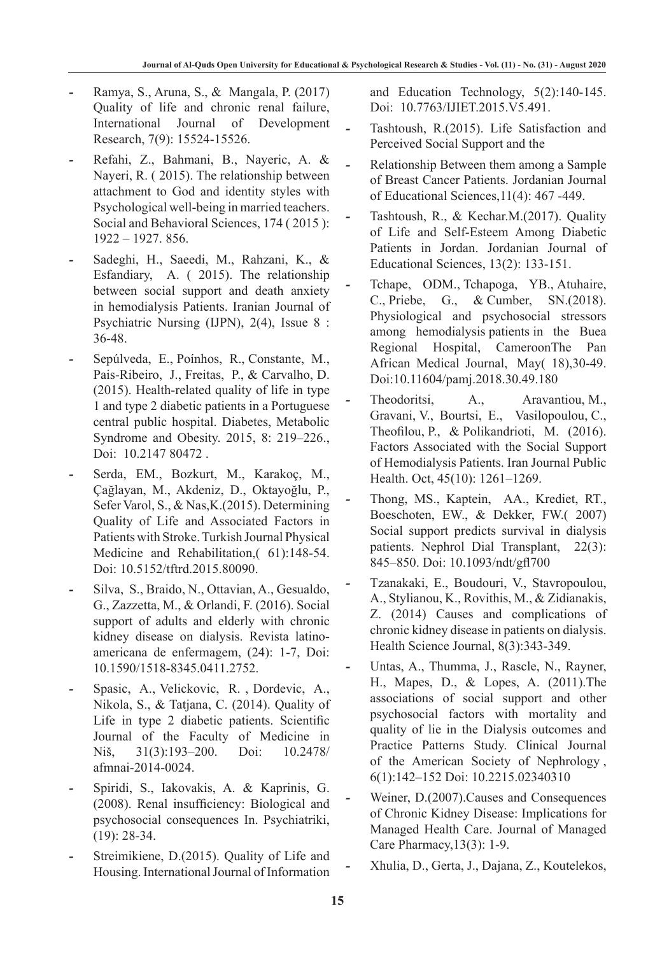- *-* Ramya, S., Aruna, S., & Mangala, P. (2017) Quality of life and chronic renal failure, International Journal of Development Research, 7(9): 15524-15526.
- *-* Refahi, Z., Bahmani, B., Nayeric, A. & Nayeri, R. ( 2015). The relationship between attachment to God and identity styles with Psychological well-being in married teachers. Social and Behavioral Sciences, 174 (2015): 1922 – 1927. 856.
- *-* Sadeghi, H., Saeedi, M., Rahzani, K., & Esfandiary, A. ( 2015). The relationship between social support and death anxiety in hemodialysis Patients. Iranian Journal of Psychiatric Nursing (IJPN), 2(4), Issue 8 : 36-48.
- *-* Sepúlveda, E., Poínhos, R., Constante, M., Pais-Ribeiro, J., Freitas, P., & Carvalho, D. (2015). Health-related quality of life in type 1 and type 2 diabetic patients in a Portuguese central public hospital. Diabetes, Metabolic Syndrome and Obesity. 2015, 8: 219–226., Doi: 10.2147 80472 .
- *-* Serda, EM., Bozkurt, M., Karakoç, M., Çağlayan, M., Akdeniz, D., Oktayoğlu, P., Sefer Varol, S., & Nas,K.(2015). Determining Quality of Life and Associated Factors in Patients with Stroke. Turkish Journal Physical Medicine and Rehabilitation, 61):148-54. Doi: 10.5152/tftrd.2015.80090.
- *-* Silva, S., Braido, N., Ottavian, A., Gesualdo, G., Zazzetta, M., & Orlandi, F. (2016). Social support of adults and elderly with chronic kidney disease on dialysis. Revista latinoamericana de enfermagem, (24): 1-7, Doi: 10.1590/1518-8345.0411.2752.
- *-* Spasic, A., Velickovic, R. , Dordevic, A., Nikola, S., & Tatjana, C. (2014). Quality of Life in type 2 diabetic patients. Scientific Journal of the Faculty of Medicine in Niš, 31(3):193–200. Doi: 10.2478/ afmnai-2014-0024.
- *-* Spiridi, S., Iakovakis, A. & Kaprinis, G. (2008). Renal insufficiency: Biological and psychosocial consequences In. Psychiatriki, (19): 28-34.
- *-* Streimikiene, D.(2015). Quality of Life and Housing. International Journal of Information

and Education Technology, 5(2):140-145. Doi: 10.7763/IJIET.2015.V5.491.

- *-* Tashtoush, R.(2015). Life Satisfaction and Perceived Social Support and the
- *-* Relationship Between them among a Sample of Breast Cancer Patients. Jordanian Journal of Educational Sciences,11(4): 467 -449.
- *-* Tashtoush, R., & Kechar.M.(2017). Quality of Life and Self-Esteem Among Diabetic Patients in Jordan. Jordanian Journal of Educational Sciences, 13(2): 133-151.
- *-* Tchape, ODM., Tchapoga, YB., Atuhaire, C., Priebe, G., & Cumber, SN.(2018). Physiological and psychosocial stressors among hemodialysis patients in the Buea Regional Hospital, CameroonThe Pan African Medical Journal, May( 18),30-49. Doi:10.11604/pamj.2018.30.49.180
- Theodoritsi, A., Aravantiou, M., Gravani, V., Bourtsi, E., Vasilopoulou, C., Theofilou, P., & Polikandrioti, M. (2016). Factors Associated with the Social Support of Hemodialysis Patients. Iran Journal Public Health. Oct, 45(10): 1261–1269.
- *-* Thong, MS., Kaptein, AA., Krediet, RT., Boeschoten, EW., & Dekker, FW.( 2007) Social support predicts survival in dialysis patients. Nephrol Dial Transplant, 22(3): 845–850. Doi: 10.1093/ndt/gfl700
- *-* Tzanakaki, E., Boudouri, V., Stavropoulou, A., Stylianou, K., Rovithis, M., & Zidianakis, Z. (2014) Causes and complications of chronic kidney disease in patients on dialysis. Health Science Journal, 8(3):343-349.
- Untas, A., Thumma, J., Rascle, N., Rayner, H., Mapes, D., & Lopes, A. (2011).The associations of social support and other psychosocial factors with mortality and quality of lie in the Dialysis outcomes and Practice Patterns Study. Clinical Journal of the American Society of Nephrology , 6(1):142–152 Doi: 10.2215.02340310
- Weiner, D.(2007).Causes and Consequences of Chronic Kidney Disease: Implications for Managed Health Care. Journal of Managed Care Pharmacy,13(3): 1-9.
- *-* Xhulia, D., Gerta, J., Dajana, Z., Koutelekos,